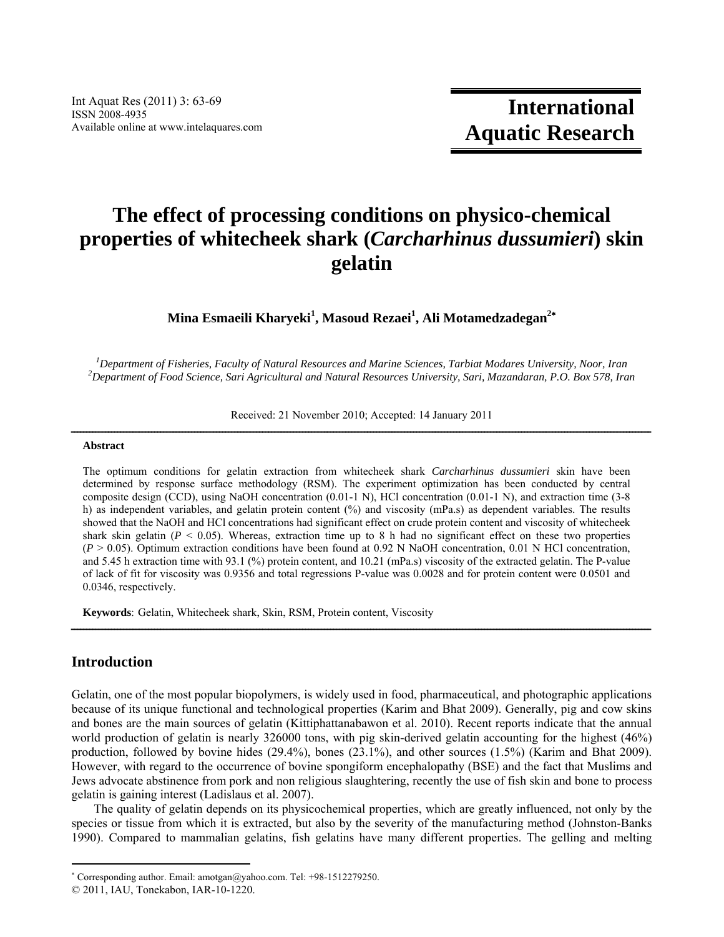# **The effect of processing conditions on physico-chemical properties of whitecheek shark (***Carcharhinus dussumieri***) skin gelatin**

**Mina Esmaeili Kharyeki<sup>1</sup> , Masoud Rezaei1 , Ali Motamedzadegan2**

<sup>1</sup> Department of Fisheries, Faculty of Natural Resources and Marine Sciences, Tarbiat Modares University, Noor, Iran <sup>2</sup><br><sup>2</sup> Department of Food Science, Sari Agricultural and Natural Besources University, Sari Mazandaran, *Department of Food Science, Sari Agricultural and Natural Resources University, Sari, Mazandaran, P.O. Box 578, Iran*

Received: 21 November 2010; Accepted: 14 January 2011

# $A b struct \hat{a} = \hat{a} + \hat{b} = \hat{b}$

The optimum conditions for gelatin extraction from whitecheek shark *Carcharhinus dussumieri* skin have been determined by response surface methodology (RSM). The experiment optimization has been conducted by central composite design (CCD), using NaOH concentration (0.01-1 N), HCl concentration (0.01-1 N), and extraction time (3-8 h) as independent variables, and gelatin protein content (%) and viscosity (mPa.s) as dependent variables. The results showed that the NaOH and HCl concentrations had significant effect on crude protein content and viscosity of whitecheek shark skin gelatin ( $P < 0.05$ ). Whereas, extraction time up to 8 h had no significant effect on these two properties  $(P > 0.05)$ . Optimum extraction conditions have been found at 0.92 N NaOH concentration, 0.01 N HCl concentration, and 5.45 h extraction time with 93.1 (%) protein content, and 10.21 (mPa.s) viscosity of the extracted gelatin. The P-value of lack of fit for viscosity was 0.9356 and total regressions P-value was 0.0028 and for protein content were 0.0501 and 0.0346, respectively.

ــــــــــــــــــــــــــــــــــــــــــــــــــــــــــــــــــــــــــــــــــــــــــــــــــــــــــــــــــــــــــــــــــــــــــــــــــــــــــــــــــــــــــــــــــــــــــــ

**Keywords**: Gelatin, Whitecheek shark, Skin, RSM, Protein content, Viscosity

# **Introduction**

Gelatin, one of the most popular biopolymers, is widely used in food, pharmaceutical, and photographic applications because of its unique functional and technological properties (Karim and Bhat 2009). Generally, pig and cow skins and bones are the main sources of gelatin (Kittiphattanabawon et al. 2010). Recent reports indicate that the annual world production of gelatin is nearly 326000 tons, with pig skin-derived gelatin accounting for the highest (46%) production, followed by bovine hides (29.4%), bones (23.1%), and other sources (1.5%) (Karim and Bhat 2009). However, with regard to the occurrence of bovine spongiform encephalopathy (BSE) and the fact that Muslims and Jews advocate abstinence from pork and non religious slaughtering, recently the use of fish skin and bone to process gelatin is gaining interest (Ladislaus et al. 2007).

The quality of gelatin depends on its physicochemical properties, which are greatly influenced, not only by the species or tissue from which it is extracted, but also by the severity of the manufacturing method (Johnston-Banks 1990). Compared to mammalian gelatins, fish gelatins have many different properties. The gelling and melting

 Corresponding author. Email: amotgan@yahoo.com. Tel: +98-1512279250.

<sup>© 2011,</sup> IAU, Tonekabon, IAR-10-1220.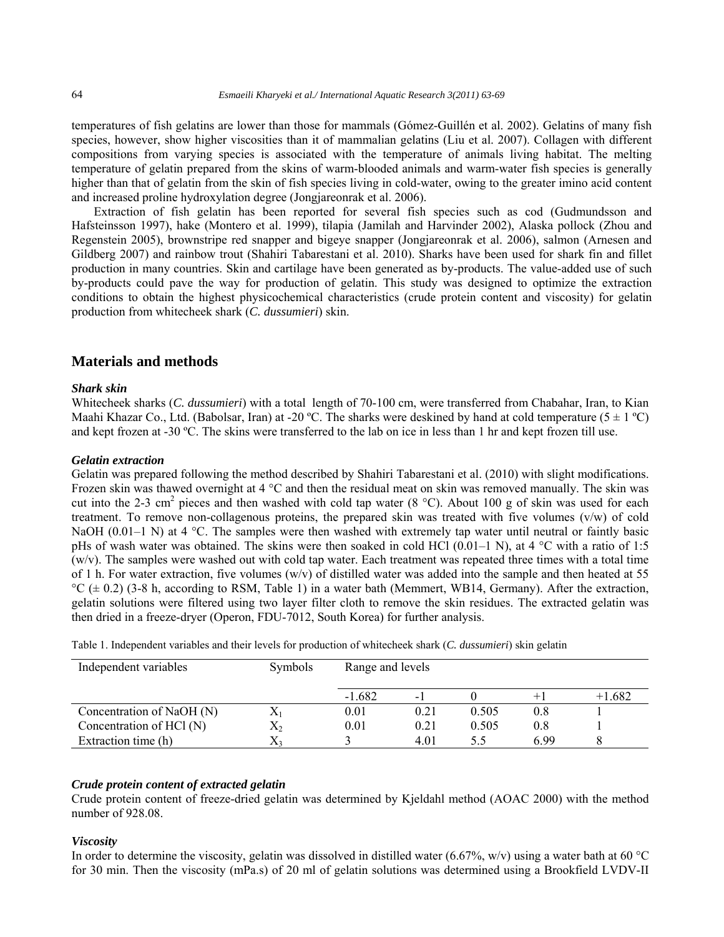temperatures of fish gelatins are lower than those for mammals (Gómez-Guillén et al. 2002). Gelatins of many fish species, however, show higher viscosities than it of mammalian gelatins (Liu et al. 2007). Collagen with different compositions from varying species is associated with the temperature of animals living habitat. The melting temperature of gelatin prepared from the skins of warm-blooded animals and warm-water fish species is generally higher than that of gelatin from the skin of fish species living in cold-water, owing to the greater imino acid content and increased proline hydroxylation degree (Jongjareonrak et al. 2006).

Extraction of fish gelatin has been reported for several fish species such as cod (Gudmundsson and Hafsteinsson 1997), hake (Montero et al. 1999), tilapia (Jamilah and Harvinder 2002), Alaska pollock (Zhou and Regenstein 2005), brownstripe red snapper and bigeye snapper (Jongjareonrak et al. 2006), salmon (Arnesen and Gildberg 2007) and rainbow trout (Shahiri Tabarestani et al. 2010). Sharks have been used for shark fin and fillet production in many countries. Skin and cartilage have been generated as by-products. The value-added use of such by-products could pave the way for production of gelatin. This study was designed to optimize the extraction conditions to obtain the highest physicochemical characteristics (crude protein content and viscosity) for gelatin production from whitecheek shark (*C. dussumieri*) skin.

# **Materials and methods**

### *Shark skin*

Whitecheek sharks (*C. dussumieri*) with a total length of 70-100 cm, were transferred from Chabahar, Iran, to Kian Maahi Khazar Co., Ltd. (Babolsar, Iran) at -20 °C. The sharks were deskined by hand at cold temperature (5  $\pm$  1 °C) and kept frozen at -30 ºC. The skins were transferred to the lab on ice in less than 1 hr and kept frozen till use.

#### *Gelatin extraction*

Gelatin was prepared following the method described by Shahiri Tabarestani et al. (2010) with slight modifications. Frozen skin was thawed overnight at 4 °C and then the residual meat on skin was removed manually. The skin was cut into the 2-3 cm<sup>2</sup> pieces and then washed with cold tap water (8 °C). About 100 g of skin was used for each treatment. To remove non-collagenous proteins, the prepared skin was treated with five volumes (v/w) of cold NaOH (0.01–1 N) at 4 °C. The samples were then washed with extremely tap water until neutral or faintly basic pHs of wash water was obtained. The skins were then soaked in cold HCl (0.01–1 N), at 4 °C with a ratio of 1:5  $(w/v)$ . The samples were washed out with cold tap water. Each treatment was repeated three times with a total time of 1 h. For water extraction, five volumes  $(w/v)$  of distilled water was added into the sample and then heated at 55  $^{\circ}C$  ( $\pm$  0.2) (3-8 h, according to RSM, Table 1) in a water bath (Memmert, WB14, Germany). After the extraction, gelatin solutions were filtered using two layer filter cloth to remove the skin residues. The extracted gelatin was then dried in a freeze-dryer (Operon, FDU-7012, South Korea) for further analysis.

| Independent variables     | <b>Symbols</b> | Range and levels |      |       |      |          |
|---------------------------|----------------|------------------|------|-------|------|----------|
|                           |                | $-1.682$         | - 1  |       | $+1$ | $+1.682$ |
| Concentration of NaOH (N) | A              | 0.01             | 0.21 | 0.505 | 0.8  |          |
| Concentration of $HC1(N)$ | $\mathrm{X}_2$ | 0.01             | 0.21 | 0.505 | 0.8  |          |
| Extraction time (h)       | X2             |                  | 4.01 | ヽヽ    | 699  |          |

Table 1. Independent variables and their levels for production of whitecheek shark (*C. dussumieri*) skin gelatin

#### *Crude protein content of extracted gelatin*

Crude protein content of freeze-dried gelatin was determined by Kjeldahl method (AOAC 2000) with the method number of 928.08.

#### *Viscosity*

In order to determine the viscosity, gelatin was dissolved in distilled water (6.67%, w/v) using a water bath at 60 °C for 30 min. Then the viscosity (mPa.s) of 20 ml of gelatin solutions was determined using a Brookfield LVDV-II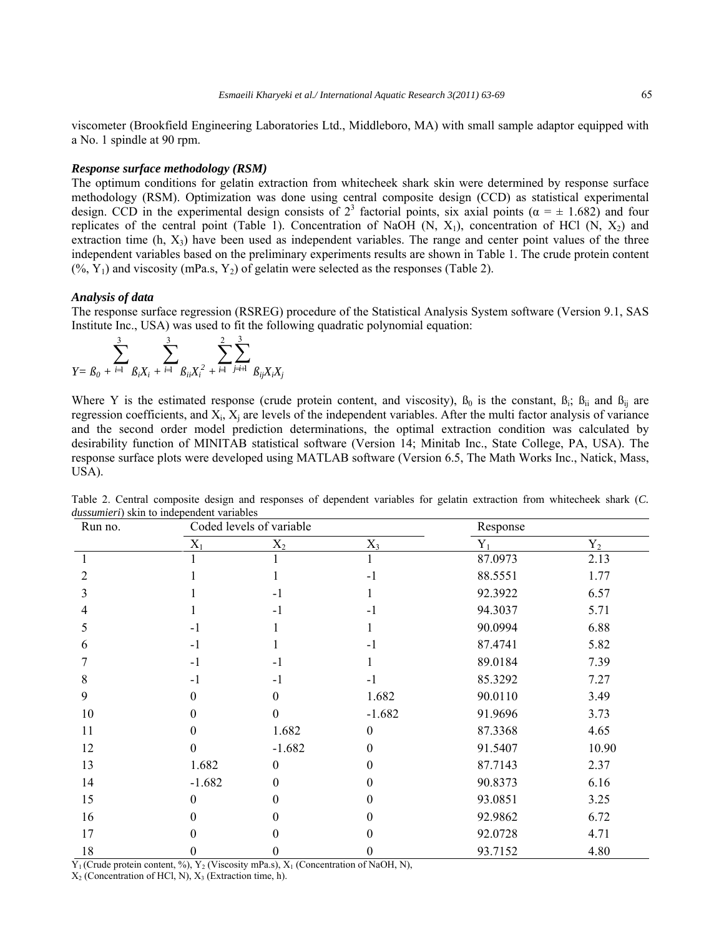viscometer (Brookfield Engineering Laboratories Ltd., Middleboro, MA) with small sample adaptor equipped with a No. 1 spindle at 90 rpm.

### *Response surface methodology (RSM)*

The optimum conditions for gelatin extraction from whitecheek shark skin were determined by response surface methodology (RSM). Optimization was done using central composite design (CCD) as statistical experimental design. CCD in the experimental design consists of  $2^3$  factorial points, six axial points ( $\alpha = \pm 1.682$ ) and four replicates of the central point (Table 1). Concentration of NaOH  $(N, X_1)$ , concentration of HCl  $(N, X_2)$  and extraction time  $(h, X_3)$  have been used as independent variables. The range and center point values of the three independent variables based on the preliminary experiments results are shown in Table 1. The crude protein content  $(\%$ , Y<sub>1</sub>) and viscosity (mPa.s, Y<sub>2</sub>) of gelatin were selected as the responses (Table 2).

# *Analysis of data*

The response surface regression (RSREG) procedure of the Statistical Analysis System software (Version 9.1, SAS Institute Inc., USA) was used to fit the following quadratic polynomial equation:

$$
\sum_{Y=\mathcal{B}_0+\stackrel{i=1}{\mapsto}\mathcal{B}_iX_i+\stackrel{j=1}{\mapsto}\mathcal{B}_{ii}X_i^2+\stackrel{j=1}{\mapsto}\sum_{j=i+1}^3\mathcal{B}_{ij}X_iX_j}
$$

Where Y is the estimated response (crude protein content, and viscosity),  $B_0$  is the constant,  $B_i$ ;  $B_{ii}$  and  $B_{ij}$  are regression coefficients, and  $X_i$ ,  $X_i$  are levels of the independent variables. After the multi factor analysis of variance and the second order model prediction determinations, the optimal extraction condition was calculated by desirability function of MINITAB statistical software (Version 14; Minitab Inc., State College, PA, USA). The response surface plots were developed using MATLAB software (Version 6.5, The Math Works Inc., Natick, Mass, USA).

| Run no.                              |                                                            | Coded levels of variable                                    |                                    |         | Response |  |  |
|--------------------------------------|------------------------------------------------------------|-------------------------------------------------------------|------------------------------------|---------|----------|--|--|
|                                      | $X_1$                                                      | $X_2$                                                       | $X_3$                              | Y,      | $Y_2$    |  |  |
|                                      |                                                            |                                                             |                                    | 87.0973 | 2.13     |  |  |
| 2                                    |                                                            |                                                             | $-1$                               | 88.5551 | 1.77     |  |  |
| 3                                    |                                                            | $-1$                                                        |                                    | 92.3922 | 6.57     |  |  |
| 4                                    |                                                            | $-1$                                                        | $-1$                               | 94.3037 | 5.71     |  |  |
| 5                                    | $-1$                                                       |                                                             |                                    | 90.0994 | 6.88     |  |  |
| 6                                    | $-1$                                                       | 1                                                           | $-1$                               | 87.4741 | 5.82     |  |  |
|                                      | $-1$                                                       | $-1$                                                        |                                    | 89.0184 | 7.39     |  |  |
| 8                                    | $-1$                                                       | $-1$                                                        | $-1$                               | 85.3292 | 7.27     |  |  |
| 9                                    | 0                                                          | $\boldsymbol{0}$                                            | 1.682                              | 90.0110 | 3.49     |  |  |
| 10                                   | 0                                                          | $\boldsymbol{0}$                                            | $-1.682$                           | 91.9696 | 3.73     |  |  |
| 11                                   | 0                                                          | 1.682                                                       | $\boldsymbol{0}$                   | 87.3368 | 4.65     |  |  |
| 12                                   | 0                                                          | $-1.682$                                                    | $\mathbf{0}$                       | 91.5407 | 10.90    |  |  |
| 13                                   | 1.682                                                      | $\boldsymbol{0}$                                            | 0                                  | 87.7143 | 2.37     |  |  |
| 14                                   | $-1.682$                                                   | $\boldsymbol{0}$                                            | $\boldsymbol{0}$                   | 90.8373 | 6.16     |  |  |
| 15                                   | $\Omega$                                                   | $\theta$                                                    | $\boldsymbol{0}$                   | 93.0851 | 3.25     |  |  |
| 16                                   |                                                            | $\theta$                                                    | $\theta$                           | 92.9862 | 6.72     |  |  |
| 17                                   |                                                            | 0                                                           | $\boldsymbol{0}$                   | 92.0728 | 4.71     |  |  |
| 18<br>$\mathcal{F}$ $(\mathcal{C}$ 1 | 0<br>$0 \wedge \overline{X}$ $\overline{Y}$ $\overline{X}$ | $\boldsymbol{0}$<br>$\mathbf{n} \rightarrow \mathbf{v}$ (c) | $\boldsymbol{0}$<br>$C2 + C1 + C2$ | 93.7152 | 4.80     |  |  |

Table 2. Central composite design and responses of dependent variables for gelatin extraction from whitecheek shark (*C. dussumieri*) skin to independent variables

 $Y_1$  (Crude protein content, %),  $Y_2$  (Viscosity mPa.s),  $X_1$  (Concentration of NaOH, N),

 $X_2$  (Concentration of HCl, N),  $X_3$  (Extraction time, h).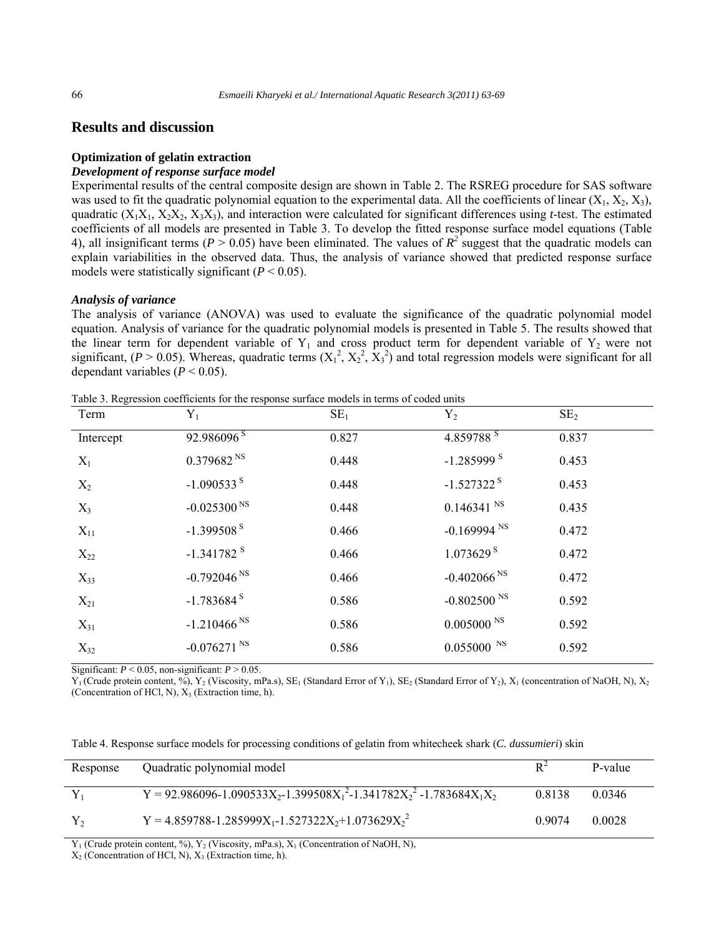# **Results and discussion**

# **Optimization of gelatin extraction**

# *Development of response surface model*

Experimental results of the central composite design are shown in Table 2. The RSREG procedure for SAS software was used to fit the quadratic polynomial equation to the experimental data. All the coefficients of linear  $(X_1, X_2, X_3)$ , quadratic  $(X_1X_1, X_2X_2, X_3X_3)$ , and interaction were calculated for significant differences using *t*-test. The estimated coefficients of all models are presented in Table 3. To develop the fitted response surface model equations (Table 4), all insignificant terms ( $P > 0.05$ ) have been eliminated. The values of  $R^2$  suggest that the quadratic models can explain variabilities in the observed data. Thus, the analysis of variance showed that predicted response surface models were statistically significant  $(P < 0.05)$ .

#### *Analysis of variance*

The analysis of variance (ANOVA) was used to evaluate the significance of the quadratic polynomial model equation. Analysis of variance for the quadratic polynomial models is presented in Table 5. The results showed that the linear term for dependent variable of  $Y_1$  and cross product term for dependent variable of  $Y_2$  were not significant, ( $P > 0.05$ ). Whereas, quadratic terms ( $X_1^2$ ,  $X_2^2$ ,  $X_3^2$ ) and total regression models were significant for all dependant variables ( $P < 0.05$ ).

| Term      | $Y_1$                     | SE <sub>1</sub> | $Y_2$                     | SE <sub>2</sub> |  |
|-----------|---------------------------|-----------------|---------------------------|-----------------|--|
| Intercept | 92.986096 <sup>S</sup>    | 0.827           | 4.859788 $S$              | 0.837           |  |
| $X_1$     | 0.379682 <sup>NS</sup>    | 0.448           | $-1.285999$ <sup>S</sup>  | 0.453           |  |
| $X_2$     | $-1.090533$ <sup>S</sup>  | 0.448           | $-1.527322$ <sup>S</sup>  | 0.453           |  |
| $X_3$     | $-0.025300NS$             | 0.448           | $0.146341^{N_S}$          | 0.435           |  |
| $X_{11}$  | $-1.399508S$              | 0.466           | $-0.169994$ <sup>NS</sup> | 0.472           |  |
| $X_{22}$  | $-1.341782$ <sup>S</sup>  | 0.466           | 1.073629 <sup>8</sup>     | 0.472           |  |
| $X_{33}$  | $-0.792046$ <sup>NS</sup> | 0.466           | $-0.402066$ <sup>NS</sup> | 0.472           |  |
| $X_{21}$  | $-1.783684$ <sup>S</sup>  | 0.586           | $-0.802500$ <sup>NS</sup> | 0.592           |  |
| $X_{31}$  | $-1.210466$ <sup>NS</sup> | 0.586           | $0.005000$ <sup>NS</sup>  | 0.592           |  |
| $X_{32}$  | $-0.076271$ <sup>NS</sup> | 0.586           | $0.055000$ <sup>NS</sup>  | 0.592           |  |
|           |                           |                 |                           |                 |  |

Table 3. Regression coefficients for the response surface models in terms of coded units

Significant:  $P < 0.05$ , non-significant:  $P > 0.05$ .

 $Y_1$  (Crude protein content, %), Y<sub>2</sub> (Viscosity, mPa.s), SE<sub>1</sub> (Standard Error of Y<sub>1</sub>), SE<sub>2</sub> (Standard Error of Y<sub>2</sub>), X<sub>1</sub> (concentration of NaOH, N), X<sub>2</sub> (Concentration of HCl, N),  $X_3$  (Extraction time, h).

Table 4. Response surface models for processing conditions of gelatin from whitecheek shark (*C. dussumieri*) skin

| Response | Quadratic polynomial model                                                                                                                            | $\mathbf{R}^2$ | P-value |
|----------|-------------------------------------------------------------------------------------------------------------------------------------------------------|----------------|---------|
| $Y_1$    | Y = 92.986096-1.090533X <sub>2</sub> -1.399508X <sub>1</sub> <sup>2</sup> -1.341782X <sub>2</sub> <sup>2</sup> -1.783684X <sub>1</sub> X <sub>2</sub> | 0.8138         | 0.0346  |
| $Y_{2}$  | $Y = 4.859788 - 1.285999X_1 - 1.527322X_2 + 1.073629X_2^2$                                                                                            | 0.9074         | 0.0028  |

 $Y_1$  (Crude protein content, %),  $Y_2$  (Viscosity, mPa.s),  $X_1$  (Concentration of NaOH, N),

 $X_2$  (Concentration of HCl, N),  $X_3$  (Extraction time, h).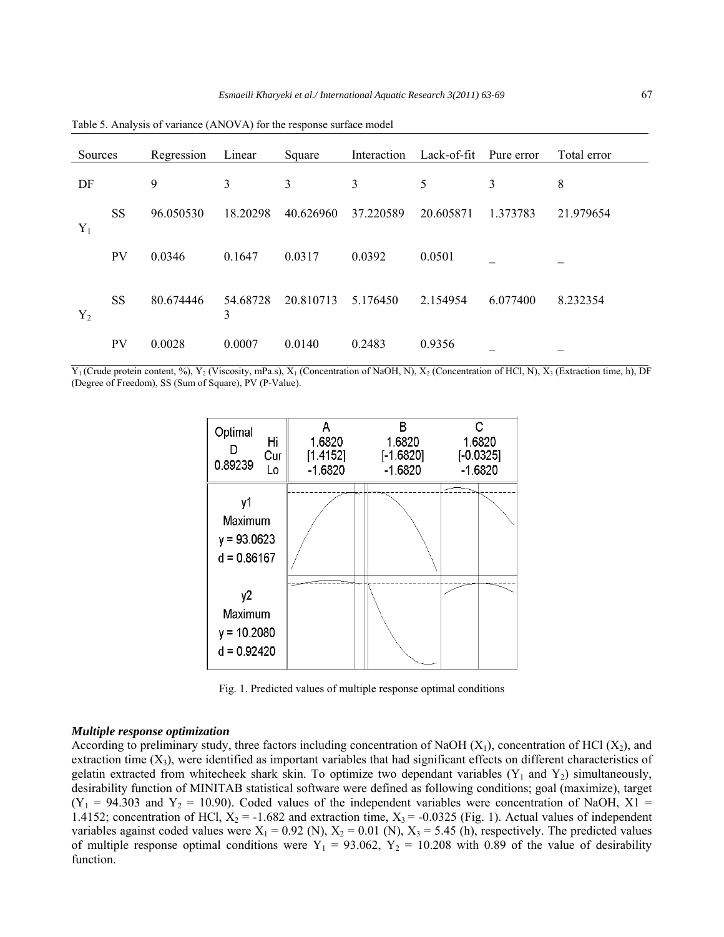| Sources |           | Regression | Linear        | Square    | Interaction | Lack-of-fit | Pure error | Total error |
|---------|-----------|------------|---------------|-----------|-------------|-------------|------------|-------------|
| DF      |           | 9          | 3             | 3         | 3           | 5           | 3          | 8           |
| $Y_1$   | <b>SS</b> | 96.050530  | 18.20298      | 40.626960 | 37.220589   | 20.605871   | 1.373783   | 21.979654   |
|         | <b>PV</b> | 0.0346     | 0.1647        | 0.0317    | 0.0392      | 0.0501      |            |             |
| $Y_2$   | <b>SS</b> | 80.674446  | 54.68728<br>3 | 20.810713 | 5.176450    | 2.154954    | 6.077400   | 8.232354    |
|         | <b>PV</b> | 0.0028     | 0.0007        | 0.0140    | 0.2483      | 0.9356      |            |             |

Table 5. Analysis of variance (ANOVA) for the response surface model

 $\overline{Y}_1$  (Crude protein content, %),  $Y_2$  (Viscosity, mPa.s),  $X_1$  (Concentration of NaOH, N),  $X_2$  (Concentration of HCl, N),  $X_3$  (Extraction time, h), DF (Degree of Freedom), SS (Sum of Square), PV (P-Value).



Fig. 1. Predicted values of multiple response optimal conditions

### *Multiple response optimization*

According to preliminary study, three factors including concentration of NaOH  $(X_1)$ , concentration of HCl  $(X_2)$ , and extraction time  $(X_3)$ , were identified as important variables that had significant effects on different characteristics of gelatin extracted from whitecheek shark skin. To optimize two dependant variables ( $Y_1$  and  $Y_2$ ) simultaneously, desirability function of MINITAB statistical software were defined as following conditions; goal (maximize), target  $(Y_1 = 94.303$  and  $Y_2 = 10.90$ ). Coded values of the independent variables were concentration of NaOH, X1 = 1.4152; concentration of HCl,  $X_2 = -1.682$  and extraction time,  $X_3 = -0.0325$  (Fig. 1). Actual values of independent variables against coded values were  $X_1 = 0.92$  (N),  $X_2 = 0.01$  (N),  $X_3 = 5.45$  (h), respectively. The predicted values of multiple response optimal conditions were  $Y_1 = 93.062$ ,  $Y_2 = 10.208$  with 0.89 of the value of desirability function.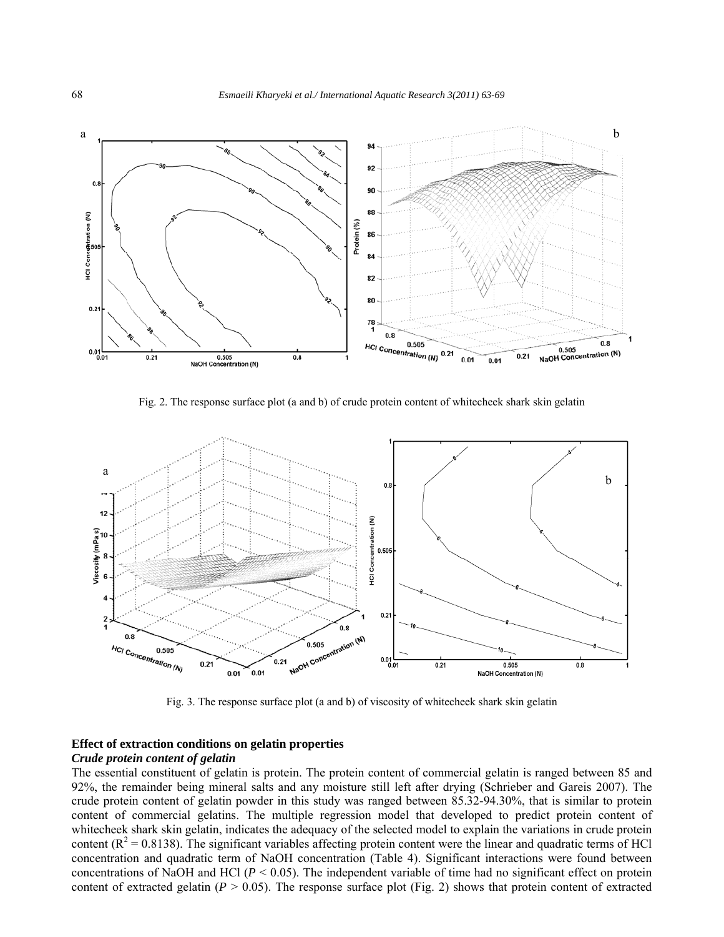

Fig. 2. The response surface plot (a and b) of crude protein content of whitecheek shark skin gelatin



Fig. 3. The response surface plot (a and b) of viscosity of whitecheek shark skin gelatin

#### **Effect of extraction conditions on gelatin properties**

## *Crude protein content of gelatin*

The essential constituent of gelatin is protein. The protein content of commercial gelatin is ranged between 85 and 92%, the remainder being mineral salts and any moisture still left after drying (Schrieber and Gareis 2007). The crude protein content of gelatin powder in this study was ranged between 85.32-94.30%, that is similar to protein content of commercial gelatins. The multiple regression model that developed to predict protein content of whitecheek shark skin gelatin, indicates the adequacy of the selected model to explain the variations in crude protein content ( $R^2 = 0.8138$ ). The significant variables affecting protein content were the linear and quadratic terms of HCl concentration and quadratic term of NaOH concentration (Table 4). Significant interactions were found between concentrations of NaOH and HCl (*P* < 0.05). The independent variable of time had no significant effect on protein content of extracted gelatin ( $P > 0.05$ ). The response surface plot (Fig. 2) shows that protein content of extracted